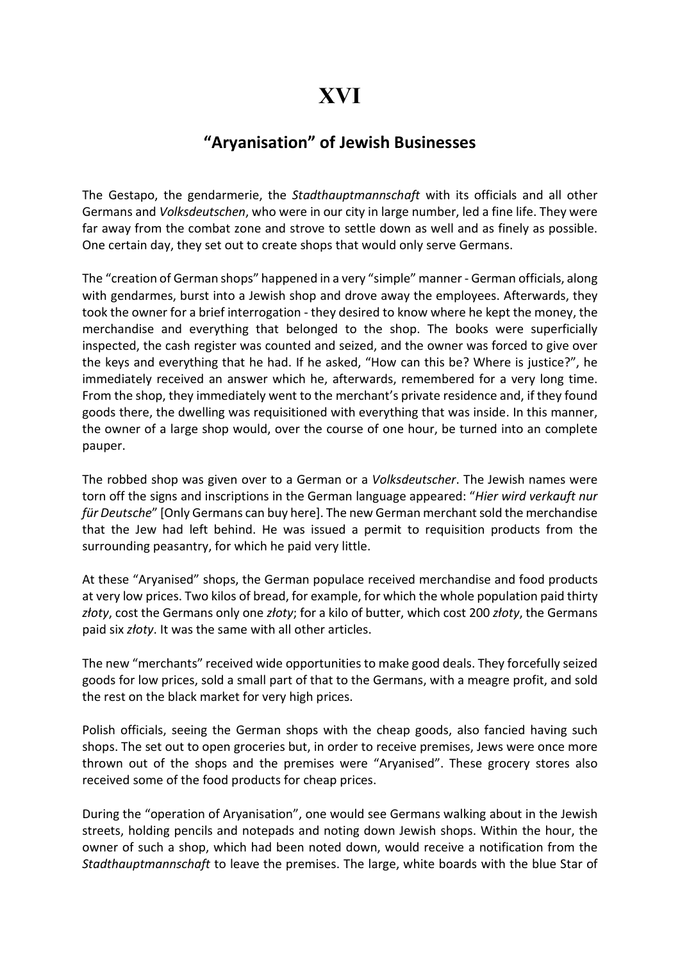## "Aryanisation" of Jewish Businesses

The Gestapo, the gendarmerie, the *Stadthauptmannschaft* with its officials and all other Germans and Volksdeutschen, who were in our city in large number, led a fine life. They were far away from the combat zone and strove to settle down as well and as finely as possible. One certain day, they set out to create shops that would only serve Germans.

The "creation of German shops" happened in a very "simple" manner - German officials, along with gendarmes, burst into a Jewish shop and drove away the employees. Afterwards, they took the owner for a brief interrogation - they desired to know where he kept the money, the merchandise and everything that belonged to the shop. The books were superficially inspected, the cash register was counted and seized, and the owner was forced to give over the keys and everything that he had. If he asked, "How can this be? Where is justice?", he immediately received an answer which he, afterwards, remembered for a very long time. From the shop, they immediately went to the merchant's private residence and, if they found goods there, the dwelling was requisitioned with everything that was inside. In this manner, the owner of a large shop would, over the course of one hour, be turned into an complete pauper.

The robbed shop was given over to a German or a Volksdeutscher. The Jewish names were torn off the signs and inscriptions in the German language appeared: "Hier wird verkauft nur für Deutsche" [Only Germans can buy here]. The new German merchant sold the merchandise that the Jew had left behind. He was issued a permit to requisition products from the surrounding peasantry, for which he paid very little.

At these "Aryanised" shops, the German populace received merchandise and food products at very low prices. Two kilos of bread, for example, for which the whole population paid thirty złoty, cost the Germans only one złoty; for a kilo of butter, which cost 200 złoty, the Germans paid six złoty. It was the same with all other articles.

The new "merchants" received wide opportunities to make good deals. They forcefully seized goods for low prices, sold a small part of that to the Germans, with a meagre profit, and sold the rest on the black market for very high prices.

Polish officials, seeing the German shops with the cheap goods, also fancied having such shops. The set out to open groceries but, in order to receive premises, Jews were once more thrown out of the shops and the premises were "Aryanised". These grocery stores also received some of the food products for cheap prices.

During the "operation of Aryanisation", one would see Germans walking about in the Jewish streets, holding pencils and notepads and noting down Jewish shops. Within the hour, the owner of such a shop, which had been noted down, would receive a notification from the Stadthauptmannschaft to leave the premises. The large, white boards with the blue Star of